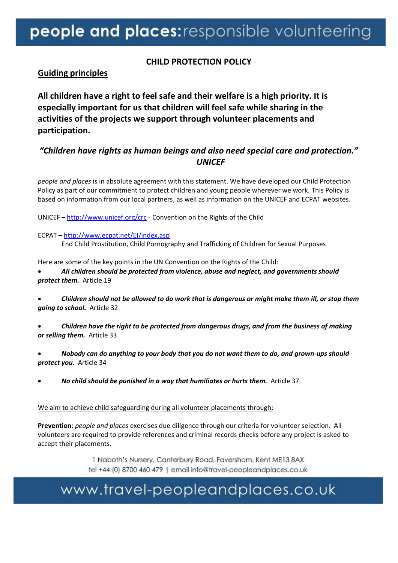## people and places: responsible volunteering

### **CHILD PROTECTION POLICY**

### **Guiding principles**

**All children have a right to feel safe and their welfare is a high priority. It is especially important for us that children will feel safe while sharing in the activities of the projects we support through volunteer placements and participation.** 

## *"Children have rights as human beings and also need special care and protection." UNICEF*

*people and places* is in absolute agreement with this statement. We have developed our Child Protection Policy as part of our commitment to protect children and young people wherever we work. This Policy is based on information from our local partners, as well as information on the UNICEF and ECPAT websites.

UNICEF – <http://www.unicef.org/crc> - Convention on the Rights of the Child

ECPAT – <http://www.ecpat.net/EI/index.asp> End Child Prostitution, Child Pornography and Trafficking of Children for Sexual Purposes

Here are some of the key points in the UN Convention on the Rights of the Child:

### • *All children should be protected from violence, abuse and neglect, and governments should protect them.* Article 19

• *Children should not be allowed to do work that is dangerous or might make them ill, or stop them going to school.* Article 32

- *Children have the right to be protected from dangerous drugs, and from the business of making or selling them.* Article 33
- *Nobody can do anything to your body that you do not want them to do, and grown-ups should protect you.* Article 34
- *No child should be punished in a way that humiliates or hurts them.* Article 37

### We aim to achieve child safeguarding during all volunteer placements through:

**Prevention**: *people and places* exercises due diligence through our criteria for volunteer selection. All volunteers are required to provide references and criminal records checks before any project is asked to accept their placements.

> 1 Naboth's Nursery, Canterbury Road, Faversham, Kent ME13 8AX tel +44 (0) 8700 460 479 | email info@travel-peopleandplaces.co.uk

## www.travel-peopleandplaces.co.uk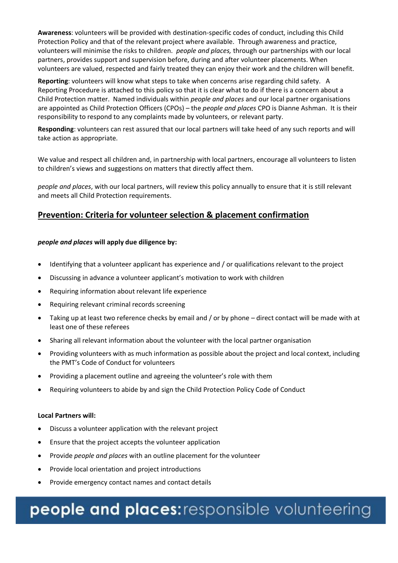**Awareness**: volunteers will be provided with destination-specific codes of conduct, including this Child Protection Policy and that of the relevant project where available. Through awareness and practice, volunteers will minimise the risks to children. *people and places,* through our partnerships with our local partners, provides support and supervision before, during and after volunteer placements. When volunteers are valued, respected and fairly treated they can enjoy their work and the children will benefit.

**Reporting**: volunteers will know what steps to take when concerns arise regarding child safety. A Reporting Procedure is attached to this policy so that it is clear what to do if there is a concern about a Child Protection matter. Named individuals within *people and places* and our local partner organisations are appointed as Child Protection Officers (CPOs) – the *people and places* CPO is Dianne Ashman. It is their responsibility to respond to any complaints made by volunteers, or relevant party.

**Responding**: volunteers can rest assured that our local partners will take heed of any such reports and will take action as appropriate.

We value and respect all children and, in partnership with local partners, encourage all volunteers to listen to children's views and suggestions on matters that directly affect them.

*people and places*, with our local partners, will review this policy annually to ensure that it is still relevant and meets all Child Protection requirements.

### **Prevention: Criteria for volunteer selection & placement confirmation**

#### *people and places* **will apply due diligence by:**

- Identifying that a volunteer applicant has experience and / or qualifications relevant to the project
- Discussing in advance a volunteer applicant's motivation to work with children
- Requiring information about relevant life experience
- Requiring relevant criminal records screening
- Taking up at least two reference checks by email and / or by phone direct contact will be made with at least one of these referees
- Sharing all relevant information about the volunteer with the local partner organisation
- Providing volunteers with as much information as possible about the project and local context, including the PMT's Code of Conduct for volunteers
- Providing a placement outline and agreeing the volunteer's role with them
- Requiring volunteers to abide by and sign the Child Protection Policy Code of Conduct

#### **Local Partners will:**

- Discuss a volunteer application with the relevant project
- Ensure that the project accepts the volunteer application
- Provide *people and places* with an outline placement for the volunteer
- Provide local orientation and project introductions
- Provide emergency contact names and contact details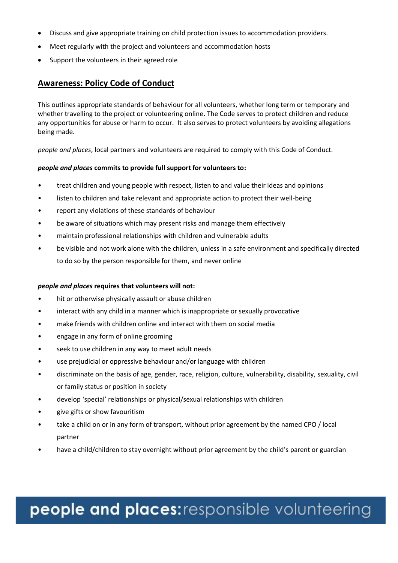- Discuss and give appropriate training on child protection issues to accommodation providers.
- Meet regularly with the project and volunteers and accommodation hosts
- Support the volunteers in their agreed role

### **Awareness: Policy Code of Conduct**

This outlines appropriate standards of behaviour for all volunteers, whether long term or temporary and whether travelling to the project or volunteering online. The Code serves to protect children and reduce any opportunities for abuse or harm to occur. It also serves to protect volunteers by avoiding allegations being made.

*people and places*, local partners and volunteers are required to comply with this Code of Conduct.

#### *people and places* **commits to provide full support for volunteers to:**

- treat children and young people with respect, listen to and value their ideas and opinions
- listen to children and take relevant and appropriate action to protect their well-being
- report any violations of these standards of behaviour
- be aware of situations which may present risks and manage them effectively
- maintain professional relationships with children and vulnerable adults
- be visible and not work alone with the children, unless in a safe environment and specifically directed to do so by the person responsible for them, and never online

#### *people and places* **requires that volunteers will not:**

- hit or otherwise physically assault or abuse children
- interact with any child in a manner which is inappropriate or sexually provocative
- make friends with children online and interact with them on social media
- engage in any form of online grooming
- seek to use children in any way to meet adult needs
- use prejudicial or oppressive behaviour and/or language with children
- discriminate on the basis of age, gender, race, religion, culture, vulnerability, disability, sexuality, civil or family status or position in society
- develop 'special' relationships or physical/sexual relationships with children
- give gifts or show favouritism
- take a child on or in any form of transport, without prior agreement by the named CPO / local partner
- have a child/children to stay overnight without prior agreement by the child's parent or guardian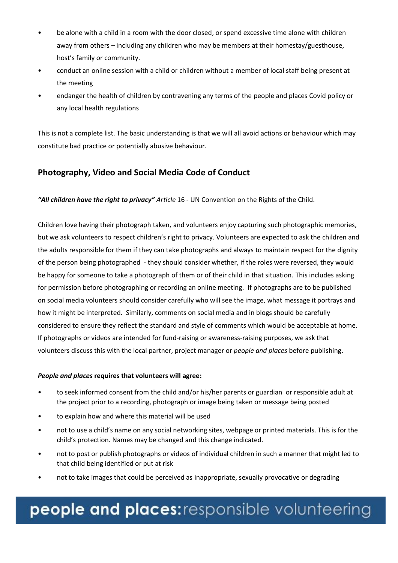- be alone with a child in a room with the door closed, or spend excessive time alone with children away from others – including any children who may be members at their homestay/guesthouse, host's family or community.
- conduct an online session with a child or children without a member of local staff being present at the meeting
- endanger the health of children by contravening any terms of the people and places Covid policy or any local health regulations

This is not a complete list. The basic understanding is that we will all avoid actions or behaviour which may constitute bad practice or potentially abusive behaviour.

### **Photography, Video and Social Media Code of Conduct**

*"All children have the right to privacy" Article* 16 - UN Convention on the Rights of the Child.

Children love having their photograph taken, and volunteers enjoy capturing such photographic memories, but we ask volunteers to respect children's right to privacy. Volunteers are expected to ask the children and the adults responsible for them if they can take photographs and always to maintain respect for the dignity of the person being photographed - they should consider whether, if the roles were reversed, they would be happy for someone to take a photograph of them or of their child in that situation. This includes asking for permission before photographing or recording an online meeting. If photographs are to be published on social media volunteers should consider carefully who will see the image, what message it portrays and how it might be interpreted. Similarly, comments on social media and in blogs should be carefully considered to ensure they reflect the standard and style of comments which would be acceptable at home. If photographs or videos are intended for fund-raising or awareness-raising purposes, we ask that volunteers discuss this with the local partner, project manager or *people and places* before publishing.

### *People and places* **requires that volunteers will agree:**

- to seek informed consent from the child and/or his/her parents or guardian or responsible adult at the project prior to a recording, photograph or image being taken or message being posted
- to explain how and where this material will be used
- not to use a child's name on any social networking sites, webpage or printed materials. This is for the child's protection. Names may be changed and this change indicated.
- not to post or publish photographs or videos of individual children in such a manner that might led to that child being identified or put at risk
- not to take images that could be perceived as inappropriate, sexually provocative or degrading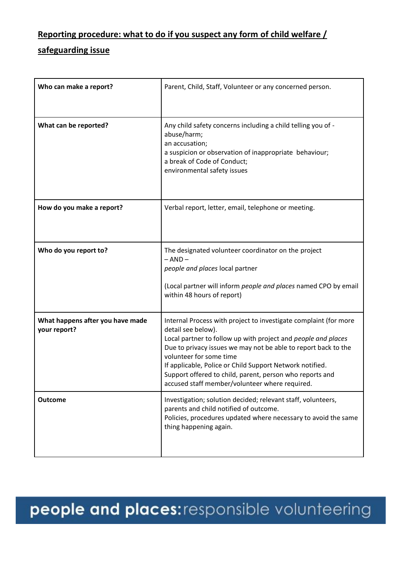## **Reporting procedure: what to do if you suspect any form of child welfare /**

## **safeguarding issue**

| Who can make a report?                           | Parent, Child, Staff, Volunteer or any concerned person.                                                                                                                                                                                                                                                                                                                                                                       |
|--------------------------------------------------|--------------------------------------------------------------------------------------------------------------------------------------------------------------------------------------------------------------------------------------------------------------------------------------------------------------------------------------------------------------------------------------------------------------------------------|
| What can be reported?                            | Any child safety concerns including a child telling you of -<br>abuse/harm;<br>an accusation;<br>a suspicion or observation of inappropriate behaviour;<br>a break of Code of Conduct;<br>environmental safety issues                                                                                                                                                                                                          |
| How do you make a report?                        | Verbal report, letter, email, telephone or meeting.                                                                                                                                                                                                                                                                                                                                                                            |
| Who do you report to?                            | The designated volunteer coordinator on the project<br>$- AND -$<br>people and places local partner<br>(Local partner will inform people and places named CPO by email<br>within 48 hours of report)                                                                                                                                                                                                                           |
| What happens after you have made<br>your report? | Internal Process with project to investigate complaint (for more<br>detail see below).<br>Local partner to follow up with project and people and places<br>Due to privacy issues we may not be able to report back to the<br>volunteer for some time<br>If applicable, Police or Child Support Network notified.<br>Support offered to child, parent, person who reports and<br>accused staff member/volunteer where required. |
| <b>Outcome</b>                                   | Investigation; solution decided; relevant staff, volunteers,<br>parents and child notified of outcome.<br>Policies, procedures updated where necessary to avoid the same<br>thing happening again.                                                                                                                                                                                                                             |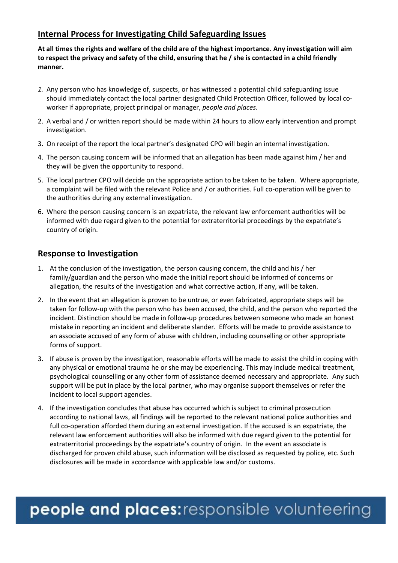## **Internal Process for Investigating Child Safeguarding Issues**

**At all times the rights and welfare of the child are of the highest importance. Any investigation will aim to respect the privacy and safety of the child, ensuring that he / she is contacted in a child friendly manner.**

- *1.* Any person who has knowledge of, suspects, or has witnessed a potential child safeguarding issue should immediately contact the local partner designated Child Protection Officer, followed by local coworker if appropriate, project principal or manager, *people and places.*
- 2. A verbal and / or written report should be made within 24 hours to allow early intervention and prompt investigation.
- 3. On receipt of the report the local partner's designated CPO will begin an internal investigation.
- 4. The person causing concern will be informed that an allegation has been made against him / her and they will be given the opportunity to respond.
- 5. The local partner CPO will decide on the appropriate action to be taken to be taken. Where appropriate, a complaint will be filed with the relevant Police and / or authorities. Full co-operation will be given to the authorities during any external investigation.
- 6. Where the person causing concern is an expatriate, the relevant law enforcement authorities will be informed with due regard given to the potential for extraterritorial proceedings by the expatriate's country of origin.

### **Response to Investigation**

- 1. At the conclusion of the investigation, the person causing concern, the child and his / her family/guardian and the person who made the initial report should be informed of concerns or allegation, the results of the investigation and what corrective action, if any, will be taken.
- 2. In the event that an allegation is proven to be untrue, or even fabricated, appropriate steps will be taken for follow-up with the person who has been accused, the child, and the person who reported the incident. Distinction should be made in follow-up procedures between someone who made an honest mistake in reporting an incident and deliberate slander. Efforts will be made to provide assistance to an associate accused of any form of abuse with children, including counselling or other appropriate forms of support.
- 3. If abuse is proven by the investigation, reasonable efforts will be made to assist the child in coping with any physical or emotional trauma he or she may be experiencing. This may include medical treatment, psychological counselling or any other form of assistance deemed necessary and appropriate. Any such support will be put in place by the local partner, who may organise support themselves or refer the incident to local support agencies.
- 4. If the investigation concludes that abuse has occurred which is subject to criminal prosecution according to national laws, all findings will be reported to the relevant national police authorities and full co-operation afforded them during an external investigation. If the accused is an expatriate, the relevant law enforcement authorities will also be informed with due regard given to the potential for extraterritorial proceedings by the expatriate's country of origin. In the event an associate is discharged for proven child abuse, such information will be disclosed as requested by police, etc. Such disclosures will be made in accordance with applicable law and/or customs.